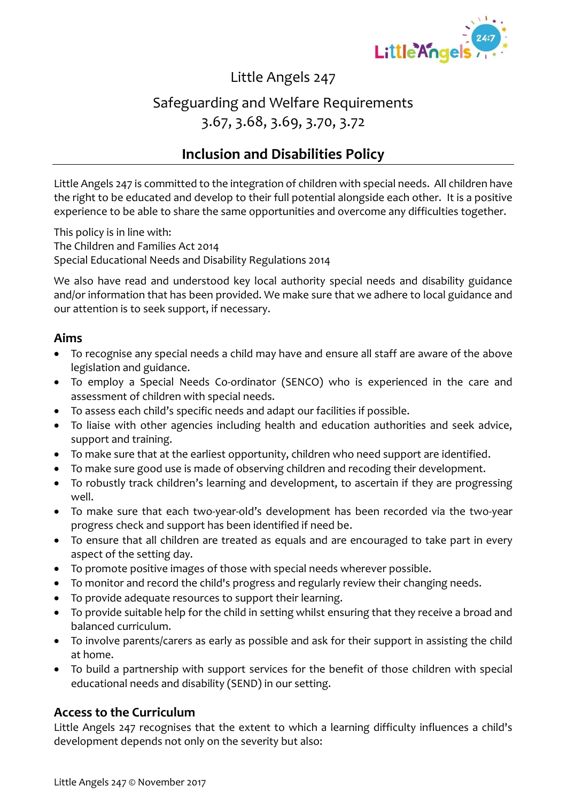

Little Angels 247

## Safeguarding and Welfare Requirements 3.67, 3.68, 3.69, 3.70, 3.72

### **Inclusion and Disabilities Policy**

Little Angels 247 is committed to the integration of children with special needs. All children have the right to be educated and develop to their full potential alongside each other. It is a positive experience to be able to share the same opportunities and overcome any difficulties together.

This policy is in line with: The Children and Families Act 2014 Special Educational Needs and Disability Regulations 2014

We also have read and understood key local authority special needs and disability guidance and/or information that has been provided. We make sure that we adhere to local guidance and our attention is to seek support, if necessary.

#### **Aims**

- To recognise any special needs a child may have and ensure all staff are aware of the above legislation and guidance.
- To employ a Special Needs Co-ordinator (SENCO) who is experienced in the care and assessment of children with special needs.
- To assess each child's specific needs and adapt our facilities if possible.
- To liaise with other agencies including health and education authorities and seek advice, support and training.
- To make sure that at the earliest opportunity, children who need support are identified.
- To make sure good use is made of observing children and recoding their development.
- To robustly track children's learning and development, to ascertain if they are progressing well.
- To make sure that each two-year-old's development has been recorded via the two-year progress check and support has been identified if need be.
- To ensure that all children are treated as equals and are encouraged to take part in every aspect of the setting day.
- To promote positive images of those with special needs wherever possible.
- To monitor and record the child's progress and regularly review their changing needs.
- To provide adequate resources to support their learning.
- To provide suitable help for the child in setting whilst ensuring that they receive a broad and balanced curriculum.
- To involve parents/carers as early as possible and ask for their support in assisting the child at home.
- To build a partnership with support services for the benefit of those children with special educational needs and disability (SEND) in our setting.

#### **Access to the Curriculum**

Little Angels 247 recognises that the extent to which a learning difficulty influences a child's development depends not only on the severity but also: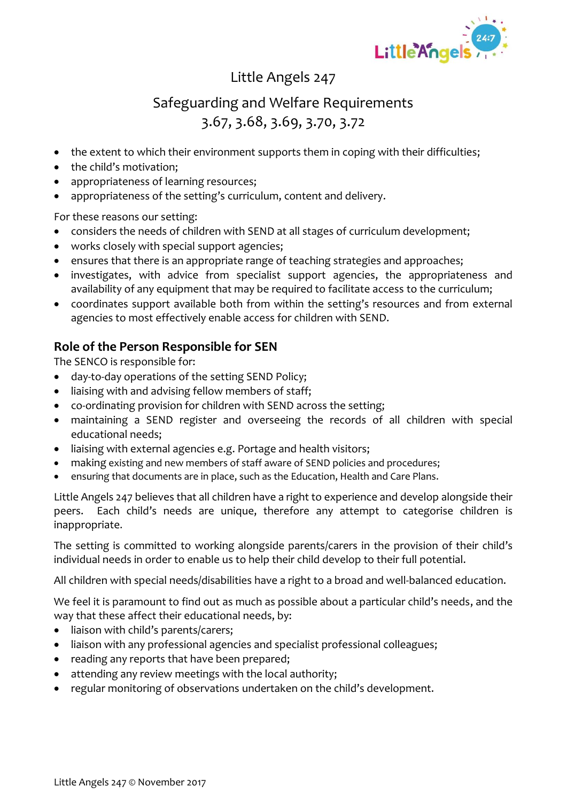

## Little Angels 247

## Safeguarding and Welfare Requirements 3.67, 3.68, 3.69, 3.70, 3.72

- the extent to which their environment supports them in coping with their difficulties;
- the child's motivation;
- appropriateness of learning resources;
- appropriateness of the setting's curriculum, content and delivery.

For these reasons our setting:

- considers the needs of children with SEND at all stages of curriculum development;
- works closely with special support agencies;
- ensures that there is an appropriate range of teaching strategies and approaches;
- investigates, with advice from specialist support agencies, the appropriateness and availability of any equipment that may be required to facilitate access to the curriculum;
- coordinates support available both from within the setting's resources and from external agencies to most effectively enable access for children with SEND.

### **Role of the Person Responsible for SEN**

The SENCO is responsible for:

- day-to-day operations of the setting SEND Policy;
- liaising with and advising fellow members of staff;
- co-ordinating provision for children with SEND across the setting;
- maintaining a SEND register and overseeing the records of all children with special educational needs;
- liaising with external agencies e.g. Portage and health visitors;
- making existing and new members of staff aware of SEND policies and procedures;
- ensuring that documents are in place, such as the Education, Health and Care Plans.

Little Angels 247 believes that all children have a right to experience and develop alongside their peers. Each child's needs are unique, therefore any attempt to categorise children is inappropriate.

The setting is committed to working alongside parents/carers in the provision of their child's individual needs in order to enable us to help their child develop to their full potential.

All children with special needs/disabilities have a right to a broad and well-balanced education.

We feel it is paramount to find out as much as possible about a particular child's needs, and the way that these affect their educational needs, by:

- liaison with child's parents/carers;
- liaison with any professional agencies and specialist professional colleagues;
- reading any reports that have been prepared;
- attending any review meetings with the local authority;
- regular monitoring of observations undertaken on the child's development.